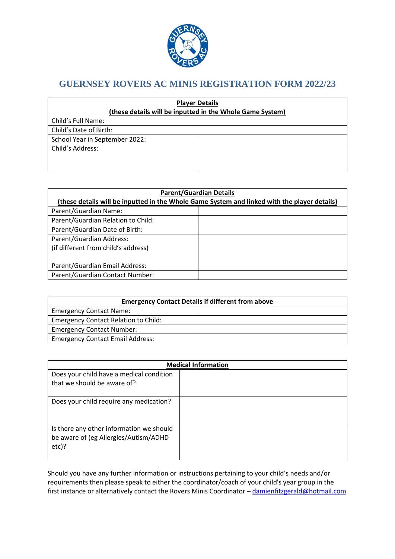

# **GUERNSEY ROVERS AC MINIS REGISTRATION FORM 2022/23**

| <b>Player Details</b><br>(these details will be inputted in the Whole Game System) |  |  |  |  |
|------------------------------------------------------------------------------------|--|--|--|--|
| Child's Full Name:                                                                 |  |  |  |  |
| Child's Date of Birth:                                                             |  |  |  |  |
| School Year in September 2022:                                                     |  |  |  |  |
| Child's Address:                                                                   |  |  |  |  |
|                                                                                    |  |  |  |  |
|                                                                                    |  |  |  |  |

| <b>Parent/Guardian Details</b>                                                               |  |  |  |  |
|----------------------------------------------------------------------------------------------|--|--|--|--|
| (these details will be inputted in the Whole Game System and linked with the player details) |  |  |  |  |
| Parent/Guardian Name:                                                                        |  |  |  |  |
| Parent/Guardian Relation to Child:                                                           |  |  |  |  |
| Parent/Guardian Date of Birth:                                                               |  |  |  |  |
| Parent/Guardian Address:                                                                     |  |  |  |  |
| (if different from child's address)                                                          |  |  |  |  |
|                                                                                              |  |  |  |  |
| Parent/Guardian Email Address:                                                               |  |  |  |  |
| Parent/Guardian Contact Number:                                                              |  |  |  |  |

| <b>Emergency Contact Details if different from above</b> |  |  |  |
|----------------------------------------------------------|--|--|--|
| <b>Emergency Contact Name:</b>                           |  |  |  |
| <b>Emergency Contact Relation to Child:</b>              |  |  |  |
| <b>Emergency Contact Number:</b>                         |  |  |  |
| <b>Emergency Contact Email Address:</b>                  |  |  |  |

| <b>Medical Information</b>                                                                    |  |  |
|-----------------------------------------------------------------------------------------------|--|--|
| Does your child have a medical condition                                                      |  |  |
| that we should be aware of?                                                                   |  |  |
| Does your child require any medication?                                                       |  |  |
| Is there any other information we should<br>be aware of (eg Allergies/Autism/ADHD<br>$etc$ )? |  |  |

Should you have any further information or instructions pertaining to your child's needs and/or requirements then please speak to either the coordinator/coach of your child's year group in the first instance or alternatively contact the Rovers Minis Coordinator - [damienfitzgerald@hotmail.com](mailto:damienfitzgerald@hotmail.com)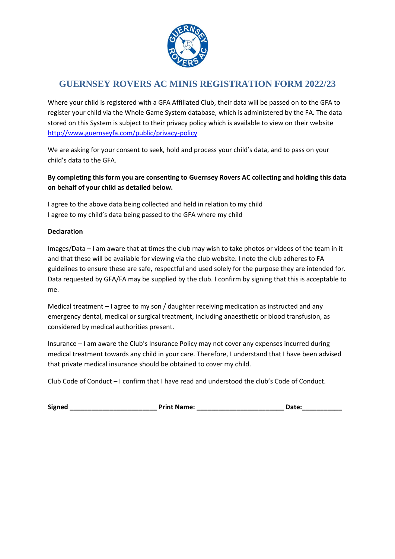

# **GUERNSEY ROVERS AC MINIS REGISTRATION FORM 2022/23**

Where your child is registered with a GFA Affiliated Club, their data will be passed on to the GFA to register your child via the Whole Game System database, which is administered by the FA. The data stored on this System is subject to their privacy policy which is available to view on their website <http://www.guernseyfa.com/public/privacy-policy>

We are asking for your consent to seek, hold and process your child's data, and to pass on your child's data to the GFA.

## **By completing this form you are consenting to Guernsey Rovers AC collecting and holding this data on behalf of your child as detailed below.**

I agree to the above data being collected and held in relation to my child I agree to my child's data being passed to the GFA where my child

### **Declaration**

Images/Data – I am aware that at times the club may wish to take photos or videos of the team in it and that these will be available for viewing via the club website. I note the club adheres to FA guidelines to ensure these are safe, respectful and used solely for the purpose they are intended for. Data requested by GFA/FA may be supplied by the club. I confirm by signing that this is acceptable to me.

Medical treatment – I agree to my son / daughter receiving medication as instructed and any emergency dental, medical or surgical treatment, including anaesthetic or blood transfusion, as considered by medical authorities present.

Insurance – I am aware the Club's Insurance Policy may not cover any expenses incurred during medical treatment towards any child in your care. Therefore, I understand that I have been advised that private medical insurance should be obtained to cover my child.

Club Code of Conduct – I confirm that I have read and understood the club's Code of Conduct.

| <b>Signed</b> | <b>Print Name:</b> | <b>Date:</b> |
|---------------|--------------------|--------------|
|               |                    |              |